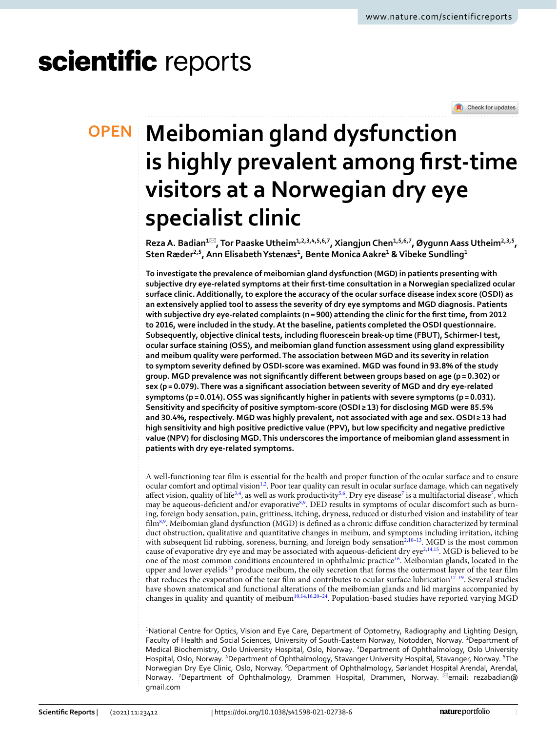# scientific reports



# **Meibomian gland dysfunction OPEN is highly prevalent among frst‑time visitors at a Norwegian dry eye specialist clinic**

**RezaA. Badian1**\***, Tor Paaske Utheim1,2,3,4,5,6,7, Xiangjun Chen1,5,6,7, ØygunnAass Utheim2,3,5, Sten Ræder2,5, Ann ElisabethYstenæs1 , Bente MonicaAakre1 & Vibeke Sundling1**

**To investigate the prevalence of meibomian gland dysfunction (MGD) in patients presenting with subjective dry eye-related symptoms at their frst-time consultation in a Norwegian specialized ocular surface clinic. Additionally, to explore the accuracy of the ocular surface disease index score (OSDI) as an extensively applied tool to assess the severity of dry eye symptoms and MGD diagnosis. Patients with subjective dry eye-related complaints (n= 900) attending the clinic for the frst time, from 2012 to 2016, were included in the study. At the baseline, patients completed the OSDI questionnaire. Subsequently, objective clinical tests, including fuorescein break-up time (FBUT), Schirmer-I test, ocular surface staining (OSS), and meibomian gland function assessment using gland expressibility and meibum quality were performed. The association between MGD and its severity in relation to symptom severity defned by OSDI-score was examined. MGD was found in 93.8% of the study group. MGD prevalence was not signifcantly diferent between groups based on age (p= 0.302) or sex (p= 0.079). There was a signifcant association between severity of MGD and dry eye-related symptoms (p= 0.014). OSS was signifcantly higher in patients with severe symptoms (p= 0.031). Sensitivity and specifcity of positive symptom-score (OSDI ≥ 13) for disclosing MGD were 85.5% and 30.4%, respectively. MGD was highly prevalent, not associated with age and sex. OSDI ≥ 13 had high sensitivity and high positive predictive value (PPV), but low specifcity and negative predictive value (NPV) for disclosing MGD. This underscores the importance of meibomian gland assessment in patients with dry eye-related symptoms.**

A well-functioning tear flm is essential for the health and proper function of the ocular surface and to ensure ocular comfort and optimal vision<sup>1[,2](#page-6-1)</sup>. Poor tear quality can result in ocular surface damage, which can negatively affect vision, quality of life<sup>[3,](#page-6-2)[4](#page-6-3)</sup>, as well as work productivity<sup>5[,6](#page-6-5)</sup>. Dry eye disease<sup>7</sup> is a multifactorial disease<sup>7</sup>, which may be aqueous-deficient and/or evaporative<sup>[8,](#page-6-7)[9](#page-6-8)</sup>. DED results in symptoms of ocular discomfort such as burning, foreign body sensation, pain, grittiness, itching, dryness, reduced or disturbed vision and instability of tear film<sup>8,[9](#page-6-8)</sup>. Meibomian gland dysfunction (MGD) is defined as a chronic diffuse condition characterized by terminal duct obstruction, qualitative and quantitative changes in meibum, and symptoms including irritation, itching with subsequent lid rubbing, soreness, burning, and foreign body sensation<sup>2[,10](#page-6-9)-13</sup>. MGD is the most common cause of evaporative dry eye and may be associated with aqueous-deficient dry eye<sup>[2](#page-6-1),[14](#page-6-11),[15](#page-6-12)</sup>. MGD is believed to be one of the most common conditions encountered in ophthalmic practice<sup>[16](#page-6-13)</sup>. Meibomian glands, located in the upper and lower eyelids<sup>[10](#page-6-9)</sup> produce meibum, the oily secretion that forms the outermost layer of the tear film that reduces the evaporation of the tear film and contributes to ocular surface lubrication $17-19$  $17-19$ . Several studies have shown anatomical and functional alterations of the meibomian glands and lid margins accompanied by changes in quality and quantity of meibum<sup>10[,14](#page-6-11),[16](#page-6-13),[20](#page-6-16)-[24](#page-6-17)</sup>. Population-based studies have reported varying MGD

<sup>1</sup>National Centre for Optics, Vision and Eye Care, Department of Optometry, Radiography and Lighting Design, Faculty of Health and Social Sciences, University of South-Eastern Norway, Notodden, Norway. <sup>2</sup>Department of Medical Biochemistry, Oslo University Hospital, Oslo, Norway. <sup>3</sup>Department of Ophthalmology, Oslo University Hospital, Oslo, Norway. <sup>4</sup>Department of Ophthalmology, Stavanger University Hospital, Stavanger, Norway. <sup>5</sup>The Norwegian Dry Eye Clinic, Oslo, Norway. <sup>6</sup>Department of Ophthalmology, Sørlandet Hospital Arendal, Arendal, Norway. <sup>7</sup>Department of Ophthalmology, Drammen Hospital, Drammen, Norway. <sup>⊠</sup>email: rezabadian@ gmail.com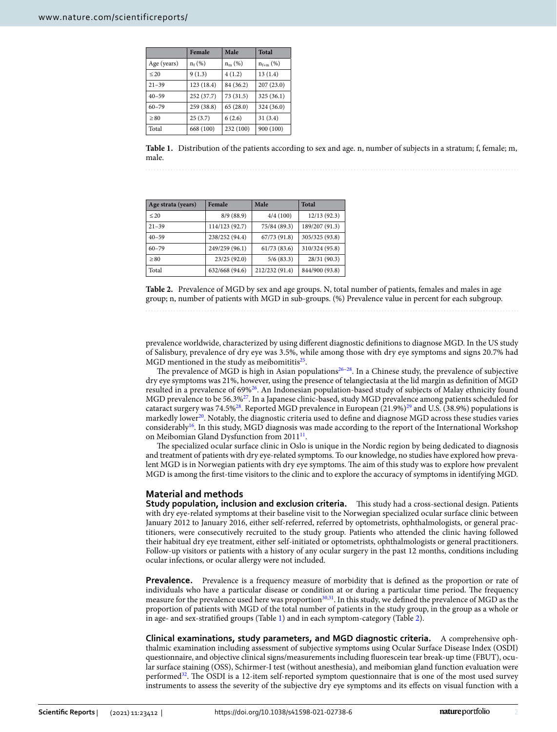|             | Female     | Male       | <b>Total</b>  |
|-------------|------------|------------|---------------|
| Age (years) | $n_f$ (%)  | $n_{m}(%)$ | $n_{f+m}$ (%) |
| $\leq 20$   | 9(1.3)     | 4(1.2)     | 13(1.4)       |
| $21 - 39$   | 123 (18.4) | 84 (36.2)  | 207(23.0)     |
| $40 - 59$   | 252 (37.7) | 73 (31.5)  | 325 (36.1)    |
| $60 - 79$   | 259 (38.8) | 65(28.0)   | 324 (36.0)    |
| $\geq 80$   | 25(3.7)    | 6(2.6)     | 31(3.4)       |
| Total       | 668 (100)  | 232 (100)  | 900 (100)     |

<span id="page-1-0"></span>**Table 1.** Distribution of the patients according to sex and age. n, number of subjects in a stratum; f, female; m, male.

| Age strata (years) | Female         | Male           | <b>Total</b>   |
|--------------------|----------------|----------------|----------------|
| ${}_{20}$          | 8/9(88.9)      | 4/4(100)       | 12/13(92.3)    |
| $21 - 39$          | 114/123 (92.7) | 75/84 (89.3)   | 189/207 (91.3) |
| $40 - 59$          | 238/252 (94.4) | 67/73 (91.8)   | 305/325 (93.8) |
| $60 - 79$          | 249/259 (96.1) | 61/73(83.6)    | 310/324 (95.8) |
| > 80               | 23/25 (92.0)   | 5/6(83.3)      | 28/31 (90.3)   |
| Total              | 632/668 (94.6) | 212/232 (91.4) | 844/900 (93.8) |

<span id="page-1-1"></span>**Table 2.** Prevalence of MGD by sex and age groups. N, total number of patients, females and males in age group; n, number of patients with MGD in sub-groups. (%) Prevalence value in percent for each subgroup.

prevalence worldwide, characterized by using diferent diagnostic defnitions to diagnose MGD. In the US study of Salisbury, prevalence of dry eye was 3.5%, while among those with dry eye symptoms and signs 20.7% had MGD mentioned in the study as meibomititis<sup>[25](#page-6-18)</sup>.

The prevalence of MGD is high in Asian populations<sup>26-[28](#page-6-20)</sup>. In a Chinese study, the prevalence of subjective dry eye symptoms was 21%, however, using the presence of telangiectasia at the lid margin as defnition of MGD resulted in a prevalence of 69[%26.](#page-6-19) An Indonesian population-based study of subjects of Malay ethnicity found MGD prevalence to be 56.3[%27.](#page-6-21) In a Japanese clinic-based, study MGD prevalence among patients scheduled for cataract surgery was 74.5%<sup>28</sup>. Reported MGD prevalence in European (21.9%)<sup>[29](#page-6-22)</sup> and U.S. (38.9%) populations is markedly lower<sup>20</sup>. Notably, the diagnostic criteria used to define and diagnose MGD across these studies varies considerably<sup>16</sup>. In this study, MGD diagnosis was made according to the report of the International Workshop on Meibomian Gland Dysfunction from 20[11](#page-6-23)<sup>11</sup>.

The specialized ocular surface clinic in Oslo is unique in the Nordic region by being dedicated to diagnosis and treatment of patients with dry eye-related symptoms. To our knowledge, no studies have explored how prevalent MGD is in Norwegian patients with dry eye symptoms. The aim of this study was to explore how prevalent MGD is among the frst-time visitors to the clinic and to explore the accuracy of symptoms in identifying MGD.

#### **Material and methods**

Study population, inclusion and exclusion criteria. This study had a cross-sectional design. Patients with dry eye-related symptoms at their baseline visit to the Norwegian specialized ocular surface clinic between January 2012 to January 2016, either self-referred, referred by optometrists, ophthalmologists, or general practitioners, were consecutively recruited to the study group. Patients who attended the clinic having followed their habitual dry eye treatment, either self-initiated or optometrists, ophthalmologists or general practitioners. Follow-up visitors or patients with a history of any ocular surgery in the past 12 months, conditions including ocular infections, or ocular allergy were not included.

**Prevalence.** Prevalence is a frequency measure of morbidity that is defined as the proportion or rate of individuals who have a particular disease or condition at or during a particular time period. The frequency measure for the prevalence used here was proportion<sup>30,31</sup>. In this study, we defined the prevalence of MGD as the proportion of patients with MGD of the total number of patients in the study group, in the group as a whole or in age- and sex-stratifed groups (Table [1\)](#page-1-0) and in each symptom-category (Table [2\)](#page-1-1).

**Clinical examinations, study parameters, and MGD diagnostic criteria.** A comprehensive ophthalmic examination including assessment of subjective symptoms using Ocular Surface Disease Index (OSDI) questionnaire, and objective clinical signs/measurements including fuorescein tear break-up time (FBUT), ocular surface staining (OSS), Schirmer-I test (without anesthesia), and meibomian gland function evaluation were performed<sup>32</sup>. The OSDI is a 12-item self-reported symptom questionnaire that is one of the most used survey instruments to assess the severity of the subjective dry eye symptoms and its efects on visual function with a

2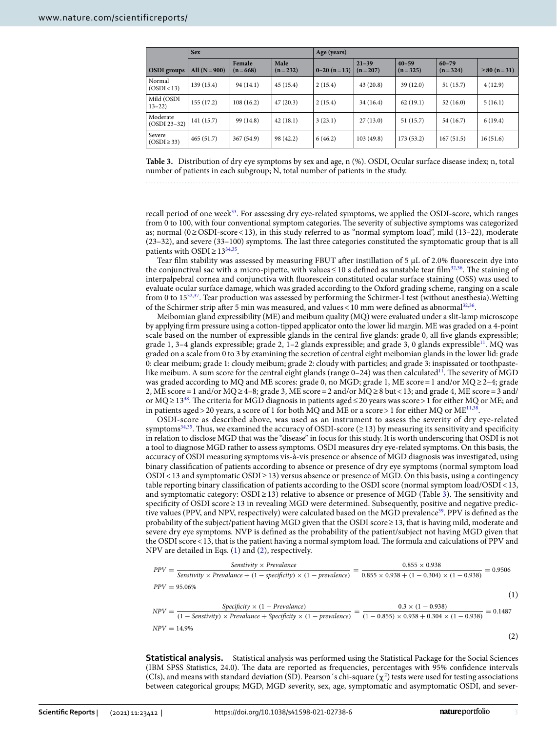|                            | <b>Sex</b>      |                     | Age (years)       |              |                        |                        |                        |                    |
|----------------------------|-----------------|---------------------|-------------------|--------------|------------------------|------------------------|------------------------|--------------------|
| <b>OSDI</b> groups         | All $(N = 900)$ | Female<br>$(n=668)$ | Male<br>$(n=232)$ | $0-20(n=13)$ | $21 - 39$<br>$(n=207)$ | $40 - 59$<br>$(n=325)$ | $60 - 79$<br>$(n=324)$ | $\geq 80$ (n = 31) |
| Normal<br>(OSDI < 13)      | 139 (15.4)      | 94 (14.1)           | 45(15.4)          | 2(15.4)      | 43(20.8)               | 39(12.0)               | 51(15.7)               | 4(12.9)            |
| Mild (OSDI<br>$13 - 22$    | 155 (17.2)      | 108(16.2)           | 47(20.3)          | 2(15.4)      | 34(16.4)               | 62(19.1)               | 52(16.0)               | 5(16.1)            |
| Moderate<br>$(OSDI 23-32)$ | 141 (15.7)      | 99 (14.8)           | 42(18.1)          | 3(23.1)      | 27(13.0)               | 51(15.7)               | 54 (16.7)              | 6(19.4)            |
| Severe<br>$(OSDI \geq 33)$ | 465(51.7)       | 367 (54.9)          | 98 (42.2)         | 6(46.2)      | 103(49.8)              | 173(53.2)              | 167(51.5)              | 16(51.6)           |

<span id="page-2-0"></span>**Table 3.** Distribution of dry eye symptoms by sex and age, n (%). OSDI, Ocular surface disease index; n, total number of patients in each subgroup; N, total number of patients in the study.

recall period of one week<sup>33</sup>. For assessing dry eye-related symptoms, we applied the OSDI-score, which ranges from 0 to 100, with four conventional symptom categories. The severity of subjective symptoms was categorized as; normal (0≥OSDI-score<13), in this study referred to as "normal symptom load", mild (13–22), moderate (23-32), and severe (33-100) symptoms. The last three categories constituted the symptomatic group that is all patients with OSDI  $\geq$  13<sup>34,35</sup>.

Tear film stability was assessed by measuring FBUT after instillation of 5  $\mu$ L of 2.0% fluorescein dye into the conjunctival sac with a micro-pipette, with values  $\leq 10$  s defined as unstable tear film<sup>[32,](#page-6-26)36</sup>. The staining of interpalpebral cornea and conjunctiva with fuorescein constituted ocular surface staining (OSS) was used to evaluate ocular surface damage, which was graded according to the Oxford grading scheme, ranging on a scale from 0 to 1[532](#page-6-26)[,37.](#page-7-2) Tear production was assessed by performing the Schirmer-I test (without anesthesia).Wetting of the Schirmer strip after 5 min was measured, and values < 10 mm were defined as abnormal<sup>[32](#page-6-26),[36](#page-7-1)</sup>.

Meibomian gland expressibility (ME) and meibum quality (MQ) were evaluated under a slit-lamp microscope by applying frm pressure using a cotton-tipped applicator onto the lower lid margin. ME was graded on a 4-point scale based on the number of expressible glands in the central fve glands: grade 0, all fve glands expressible; grade 1, 3–4 glands expressible; grade 2, 1–2 glands expressible; and grade 3, 0 glands expressibl[e11](#page-6-23). MQ was graded on a scale from 0 to 3 by examining the secretion of central eight meibomian glands in the lower lid: grade 0: clear meibum; grade 1: cloudy meibum; grade 2: cloudy with particles; and grade 3: inspissated or toothpastelike meibum. A sum score for the central eight glands (range  $0-24$ ) was then calculated<sup>[11](#page-6-23)</sup>. The severity of MGD was graded according to MQ and ME scores: grade 0, no MGD; grade 1, ME score=1 and/or MQ≥2–4; grade 2, ME score=1 and/or MQ≥4–8; grade 3, ME score=2 and/or MQ≥8 but<13; and grade 4, ME score=3 and/ or MQ ≥ 13<sup>38</sup>. The criteria for MGD diagnosis in patients aged ≤ 20 years was score > 1 for either MQ or ME; and in patients aged > 20 years, a score of 1 for both MQ and ME or a score > 1 for either MQ or ME<sup>[11](#page-6-23),[38](#page-7-3)</sup>.

OSDI-score as described above, was used as an instrument to assess the severity of dry eye-related symptoms<sup>34,35</sup>. Thus, we examined the accuracy of OSDI-score ( $\geq$ 13) by measuring its sensitivity and specificity in relation to disclose MGD that was the "disease" in focus for this study. It is worth underscoring that OSDI is not a tool to diagnose MGD rather to assess symptoms. OSDI measures dry eye-related symptoms. On this basis, the accuracy of OSDI measuring symptoms vis-à-vis presence or absence of MGD diagnosis was investigated, using binary classifcation of patients according to absence or presence of dry eye symptoms (normal symptom load OSDI<13 and symptomatic OSDI≥13) versus absence or presence of MGD. On this basis, using a contingency table reporting binary classifcation of patients according to the OSDI score (normal symptom load/OSDI<13, and symptomatic category: OSDI ≥ 1[3\)](#page-2-0) relative to absence or presence of MGD (Table 3). The sensitivity and specificity of OSDI score ≥ 13 in revealing MGD were determined. Subsequently, positive and negative predic-tive values (PPV, and NPV, respectively) were calculated based on the MGD prevalence<sup>[39](#page-7-4)</sup>. PPV is defined as the probability of the subject/patient having MGD given that the OSDI score≥13, that is having mild, moderate and severe dry eye symptoms. NVP is defned as the probability of the patient/subject not having MGD given that the OSDI score <13, that is the patient having a normal symptom load. The formula and calculations of PPV and NPV are detailed in Eqs. ([1](#page-2-1)) and [\(2](#page-2-2)), respectively.

<span id="page-2-2"></span><span id="page-2-1"></span>
$$
PPV = \frac{\text{Sensitivity} \times \text{Prevalance}}{\text{Sensitivity} \times \text{Prevalance} + (1 - \text{specificity}) \times (1 - \text{prevalence})} = \frac{0.855 \times 0.938}{0.855 \times 0.938 + (1 - 0.304) \times (1 - 0.938)} = 0.9506
$$
\n
$$
PPV = 95.06\%
$$
\n
$$
NPV = \frac{\text{Specificity} \times (1 - \text{Prevalance})}{(1 - \text{Sensitivity}) \times \text{Prevalance} + \text{Specificity} \times (1 - \text{prevalence})} = \frac{0.3 \times (1 - 0.938)}{(1 - 0.855) \times 0.938 + 0.304 \times (1 - 0.938)} = 0.1487
$$
\n
$$
NPV = 14.9\%
$$
\n
$$
(2)
$$

**Statistical analysis.** Statistical analysis was performed using the Statistical Package for the Social Sciences (IBM SPSS Statistics, 24.0). The data are reported as frequencies, percentages with 95% confidence intervals (CIs), and means with standard deviation (SD). Pearson's chi-square ( $\chi^2$ ) tests were used for testing associations between categorical groups; MGD, MGD severity, sex, age, symptomatic and asymptomatic OSDI, and sever-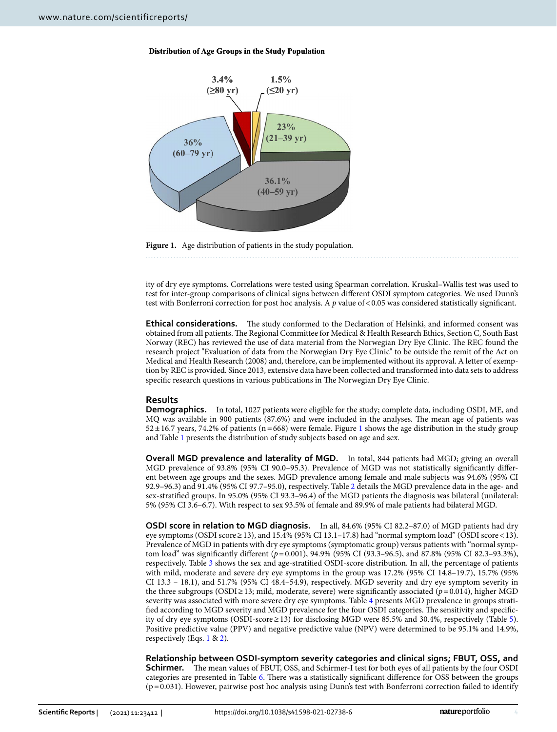



<span id="page-3-0"></span>

ity of dry eye symptoms. Correlations were tested using Spearman correlation. Kruskal–Wallis test was used to test for inter-group comparisons of clinical signs between diferent OSDI symptom categories. We used Dunn's test with Bonferroni correction for post hoc analysis. A *p* value of <0.05 was considered statistically significant.

**Ethical considerations.** The study conformed to the Declaration of Helsinki, and informed consent was obtained from all patients. The Regional Committee for Medical & Health Research Ethics, Section C, South East Norway (REC) has reviewed the use of data material from the Norwegian Dry Eye Clinic. The REC found the research project "Evaluation of data from the Norwegian Dry Eye Clinic" to be outside the remit of the Act on Medical and Health Research (2008) and, therefore, can be implemented without its approval. A letter of exemption by REC is provided. Since 2013, extensive data have been collected and transformed into data sets to address specific research questions in various publications in The Norwegian Dry Eye Clinic.

# **Results**

**Demographics.** In total, 1027 patients were eligible for the study; complete data, including OSDI, ME, and MQ was available in 900 patients (87.6%) and were included in the analyses. The mean age of patients was 52±16.7 years, 74.2% of patients (n=668) were female. Figure [1](#page-3-0) shows the age distribution in the study group and Table [1](#page-1-0) presents the distribution of study subjects based on age and sex.

**Overall MGD prevalence and laterality of MGD.** In total, 844 patients had MGD; giving an overall MGD prevalence of 93.8% (95% CI 90.0–95.3). Prevalence of MGD was not statistically signifcantly diferent between age groups and the sexes. MGD prevalence among female and male subjects was 94.6% (95% CI 92.9–96.3) and 91.4% (95% CI 97.7–95.0), respectively. Table [2](#page-1-1) details the MGD prevalence data in the age- and sex-stratifed groups. In 95.0% (95% CI 93.3–96.4) of the MGD patients the diagnosis was bilateral (unilateral: 5% (95% CI 3.6–6.7). With respect to sex 93.5% of female and 89.9% of male patients had bilateral MGD.

**OSDI score in relation to MGD diagnosis.** In all, 84.6% (95% CI 82.2–87.0) of MGD patients had dry eye symptoms (OSDI score  $\geq$  13), and 15.4% (95% CI 13.1–17.8) had "normal symptom load" (OSDI score < 13). Prevalence of MGD in patients with dry eye symptoms (symptomatic group) versus patients with "normal symptom load" was signifcantly diferent (*p*=0.001), 94.9% (95% CI (93.3–96.5), and 87.8% (95% CI 82.3–93.3%), respectively. Table [3](#page-2-0) shows the sex and age-stratifed OSDI-score distribution. In all, the percentage of patients with mild, moderate and severe dry eye symptoms in the group was 17.2% (95% CI 14.8–19.7), 15.7% (95% CI 13.3 – 18.1), and 51.7% (95% CI 48.4–54.9), respectively. MGD severity and dry eye symptom severity in the three subgroups (OSDI $\geq$ 13; mild, moderate, severe) were significantly associated ( $p=0.014$ ), higher MGD severity was associated with more severe dry eye symptoms. Table [4](#page-4-0) presents MGD prevalence in groups stratified according to MGD severity and MGD prevalence for the four OSDI categories. The sensitivity and specificity of dry eye symptoms (OSDI-score≥13) for disclosing MGD were 85.5% and 30.4%, respectively (Table [5](#page-4-1)). Positive predictive value (PPV) and negative predictive value (NPV) were determined to be 95.1% and 14.9%, respectively (Eqs. [1](#page-2-1) & [2\)](#page-2-2).

**Relationship between OSDI‑symptom severity categories and clinical signs; FBUT, OSS, and Schirmer.** The mean values of FBUT, OSS, and Schirmer-I test for both eyes of all patients by the four OSDI categories are presented in Table [6](#page-4-2). There was a statistically significant difference for OSS between the groups  $(p=0.031)$ . However, pairwise post hoc analysis using Dunn's test with Bonferroni correction failed to identify

4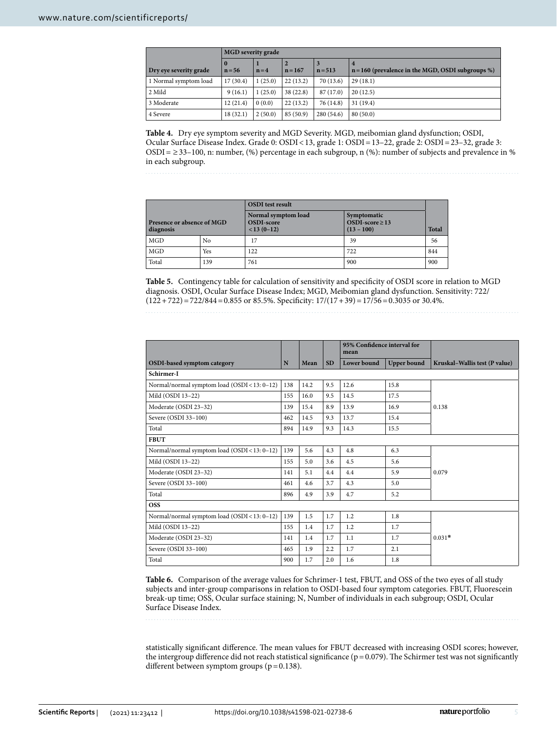|                        | <b>MGD</b> severity grade |         |           |                |                                                          |  |  |
|------------------------|---------------------------|---------|-----------|----------------|----------------------------------------------------------|--|--|
| Dry eye severity grade | $\mathbf{0}$<br>$n = 56$  | $n = 4$ | $n = 167$ | 3<br>$n = 513$ | 4<br>$n = 160$ (prevalence in the MGD, OSDI subgroups %) |  |  |
| 1 Normal symptom load  | 17(30.4)                  | 1(25.0) | 22(13.2)  | 70(13.6)       | 29(18.1)                                                 |  |  |
| 2 Mild                 | 9(16.1)                   | 1(25.0) | 38 (22.8) | 87 (17.0)      | 20(12.5)                                                 |  |  |
| 3 Moderate             | 12(21.4)                  | 0(0.0)  | 22(13.2)  | 76 (14.8)      | 31(19.4)                                                 |  |  |
| 4 Severe               | 18(32.1)                  | 2(50.0) | 85(50.9)  | 280(54.6)      | 80(50.0)                                                 |  |  |

<span id="page-4-0"></span>**Table 4.** Dry eye symptom severity and MGD Severity. MGD, meibomian gland dysfunction; OSDI, Ocular Surface Disease Index. Grade 0: OSDI<13, grade 1: OSDI=13–22, grade 2: OSDI=23–32, grade 3:  $OSDI = \geq 33-100$ , n: number, (%) percentage in each subgroup, n (%): number of subjects and prevalence in % in each subgroup.

|                                         |     | <b>OSDI</b> test result                           |                                                     |              |  |
|-----------------------------------------|-----|---------------------------------------------------|-----------------------------------------------------|--------------|--|
| Presence or absence of MGD<br>diagnosis |     | Normal symptom load<br>OSDI-score<br>$< 13(0-12)$ | Symptomatic<br>OSDI-score $\geq$ 13<br>$(13 - 100)$ | <b>Total</b> |  |
| MGD                                     | No  | 17                                                | 39                                                  | 56           |  |
| <b>MGD</b>                              | Yes | 122                                               | 722                                                 | 844          |  |
| Total                                   | 139 | 761                                               | 900                                                 | 900          |  |

<span id="page-4-1"></span>**Table 5.** Contingency table for calculation of sensitivity and specifcity of OSDI score in relation to MGD diagnosis. OSDI, Ocular Surface Disease Index; MGD, Meibomian gland dysfunction. Sensitivity: 722/  $(122 + 722) = 722/844 = 0.855$  or 85.5%. Specificity:  $17/(17+39) = 17/56 = 0.3035$  or 30.4%.

|                                              |     |      |           | 95% Confidence interval for<br>mean |                    |                               |  |
|----------------------------------------------|-----|------|-----------|-------------------------------------|--------------------|-------------------------------|--|
| OSDI-based symptom category                  | N   | Mean | <b>SD</b> | Lower bound                         | <b>Upper bound</b> | Kruskal-Wallis test (P value) |  |
| Schirmer-I                                   |     |      |           |                                     |                    |                               |  |
| Normal/normal symptom load (OSDI<13: 0-12)   | 138 | 14.2 | 9.5       | 12.6                                | 15.8               |                               |  |
| Mild (OSDI 13-22)                            | 155 | 16.0 | 9.5       | 14.5                                | 17.5               |                               |  |
| Moderate (OSDI 23-32)                        | 139 | 15.4 | 8.9       | 13.9                                | 16.9               | 0.138                         |  |
| Severe (OSDI 33-100)                         | 462 | 14.5 | 9.3       | 13.7                                | 15.4               |                               |  |
| Total                                        | 894 | 14.9 | 9.3       | 14.3                                | 15.5               |                               |  |
| <b>FBUT</b>                                  |     |      |           |                                     |                    |                               |  |
| Normal/normal symptom load (OSDI < 13: 0-12) | 139 | 5.6  | 4.3       | 4.8                                 | 6.3                |                               |  |
| Mild (OSDI 13-22)                            | 155 | 5.0  | 3.6       | 4.5                                 | 5.6                |                               |  |
| Moderate (OSDI 23-32)                        | 141 | 5.1  | 4.4       | 4.4                                 | 5.9                | 0.079                         |  |
| Severe (OSDI 33-100)                         | 461 | 4.6  | 3.7       | 4.3                                 | 5.0                |                               |  |
| Total                                        | 896 | 4.9  | 3.9       | 4.7                                 | 5.2                |                               |  |
| <b>OSS</b>                                   |     |      |           |                                     |                    |                               |  |
| Normal/normal symptom load (OSDI < 13: 0-12) | 139 | 1.5  | 1.7       | 1.2                                 | 1.8                |                               |  |
| Mild (OSDI 13-22)                            | 155 | 1.4  | 1.7       | 1.2                                 | 1.7                |                               |  |
| Moderate (OSDI 23-32)                        | 141 | 1.4  | 1.7       | 1.1                                 | 1.7                | $0.031*$                      |  |
| Severe (OSDI 33-100)                         | 465 | 1.9  | 2.2       | 1.7                                 | 2.1                |                               |  |
| Total                                        | 900 | 1.7  | 2.0       | 1.6                                 | 1.8                |                               |  |

<span id="page-4-2"></span>**Table 6.** Comparison of the average values for Schrimer-1 test, FBUT, and OSS of the two eyes of all study subjects and inter-group comparisons in relation to OSDI-based four symptom categories. FBUT, Fluorescein break-up time; OSS, Ocular surface staining; N, Number of individuals in each subgroup; OSDI, Ocular Surface Disease Index.

statistically significant difference. The mean values for FBUT decreased with increasing OSDI scores; however, the intergroup difference did not reach statistical significance ( $p = 0.079$ ). The Schirmer test was not significantly different between symptom groups (p=0.138).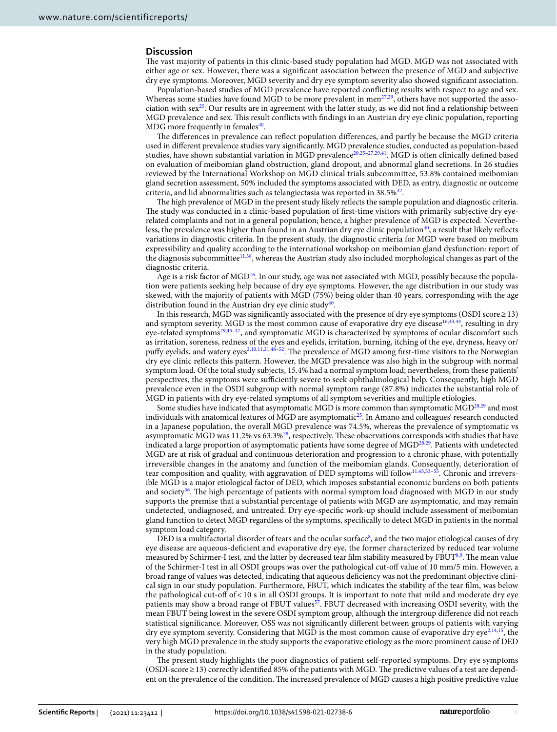### **Discussion**

The vast majority of patients in this clinic-based study population had MGD. MGD was not associated with either age or sex. However, there was a signifcant association between the presence of MGD and subjective dry eye symptoms. Moreover, MGD severity and dry eye symptom severity also showed signifcant association.

Population-based studies of MGD prevalence have reported conficting results with respect to age and sex. Whereas some studies have found MGD to be more prevalent in men<sup>[27,](#page-6-21)29</sup>, others have not supported the association with sex<sup>25</sup>. Our results are in agreement with the latter study, as we did not find a relationship between MGD prevalence and sex. Tis result conficts with fndings in an Austrian dry eye clinic population, reporting MDG more frequently in females $40$ .

The differences in prevalence can reflect population differences, and partly be because the MGD criteria used in diferent prevalence studies vary signifcantly. MGD prevalence studies, conducted as population-based studies, have shown substantial variation in MGD prevalence<sup>[20,](#page-6-16)25-[27](#page-6-21),[29](#page-6-22),[41](#page-7-6)</sup>. MGD is often clinically defined based on evaluation of meibomian gland obstruction, gland dropout, and abnormal gland secretions. In 26 studies reviewed by the International Workshop on MGD clinical trials subcommittee, 53.8% contained meibomian gland secretion assessment, 50% included the symptoms associated with DED, as entry, diagnostic or outcome criteria, and lid abnormalities such as telangiectasia was reported in 38.5[%42](#page-7-7).

The high prevalence of MGD in the present study likely reflects the sample population and diagnostic criteria. The study was conducted in a clinic-based population of first-time visitors with primarily subjective dry eyerelated complaints and not in a general population; hence, a higher prevalence of MGD is expected. Nevertheless, the prevalence was higher than found in an Austrian dry eye clinic population<sup>40</sup>, a result that likely reflects variations in diagnostic criteria. In the present study, the diagnostic criteria for MGD were based on meibum expressibility and quality according to the international workshop on meibomian gland dysfunction: report of the diagnosis subcommittee[11](#page-6-23),[38](#page-7-3), whereas the Austrian study also included morphological changes as part of the diagnostic criteria.

Age is a risk factor of  $\text{MGD}^{16}$ . In our study, age was not associated with MGD, possibly because the population were patients seeking help because of dry eye symptoms. However, the age distribution in our study was skewed, with the majority of patients with MGD (75%) being older than 40 years, corresponding with the age distribution found in the Austrian dry eye clinic study<sup>40</sup>.

In this research, MGD was signifcantly associated with the presence of dry eye symptoms (OSDI score≥13) and symptom severity. MGD is the most common cause of evaporative dry eye disease<sup>[16,](#page-6-13)[43,](#page-7-8)44</sup>, resulting in dry eye-related symptoms<sup>[29](#page-6-22),[45](#page-7-10)[–47](#page-7-11)</sup>, and symptomatic MGD is characterized by symptoms of ocular discomfort such as irritation, soreness, redness of the eyes and eyelids, irritation, burning, itching of the eye, dryness, heavy or/ puffy eyelids, and watery eyes<sup>2[,10](#page-6-9)[,11](#page-6-23)[,21](#page-6-29)[,48](#page-7-12)-52</sup>. The prevalence of MGD among first-time visitors to the Norwegian dry eye clinic refects this pattern. However, the MGD prevalence was also high in the subgroup with normal symptom load. Of the total study subjects, 15.4% had a normal symptom load; nevertheless, from these patients' perspectives, the symptoms were sufciently severe to seek ophthalmological help. Consequently, high MGD prevalence even in the OSDI subgroup with normal symptom range (87.8%) indicates the substantial role of MGD in patients with dry eye-related symptoms of all symptom severities and multiple etiologies.

Some studies have indicated that asymptomatic MGD is more common than symptomatic MGD<sup>28,[29](#page-6-22)</sup> and most individuals with anatomical features of MGD are asymptomatic<sup>25</sup>. In Amano and colleagues' research conducted in a Japanese population, the overall MGD prevalence was 74.5%, whereas the prevalence of symptomatic vs asymptomatic MGD was 11.2% vs 63.3%<sup>[28](#page-6-20)</sup>, respectively. These observations corresponds with studies that have indicated a large proportion of asymptomatic patients have some degree of MGD<sup>28,29</sup>. Patients with undetected MGD are at risk of gradual and continuous deterioration and progression to a chronic phase, with potentially irreversible changes in the anatomy and function of the meibomian glands. Consequently, deterioration of tear composition and quality, with aggravation of DED symptoms will follow<sup>11,[45](#page-7-10),53-[55](#page-7-15)</sup>. Chronic and irreversible MGD is a major etiological factor of DED, which imposes substantial economic burdens on both patients and society<sup>56</sup>. The high percentage of patients with normal symptom load diagnosed with MGD in our study supports the premise that a substantial percentage of patients with MGD are asymptomatic, and may remain undetected, undiagnosed, and untreated. Dry eye-specifc work-up should include assessment of meibomian gland function to detect MGD regardless of the symptoms, specifcally to detect MGD in patients in the normal symptom load category.

DED is a multifactorial disorder of tears and the ocular surface<sup>[8](#page-6-7)</sup>, and the two major etiological causes of dry eye disease are aqueous-defcient and evaporative dry eye, the former characterized by reduced tear volume measured by Schirmer-I test, and the latter by decreased tear film stability measured by FBUT<sup>[8](#page-6-7),[9](#page-6-8)</sup>. The mean value of the Schirmer-I test in all OSDI groups was over the pathological cut-of value of 10 mm/5 min. However, a broad range of values was detected, indicating that aqueous defciency was not the predominant objective clinical sign in our study population. Furthermore, FBUT, which indicates the stability of the tear flm, was below the pathological cut-of of < 10 s in all OSDI groups. It is important to note that mild and moderate dry eye patients may show a broad range of FBUT values<sup>57</sup>. FBUT decreased with increasing OSDI severity, with the mean FBUT being lowest in the severe OSDI symptom group, although the intergroup diference did not reach statistical signifcance. Moreover, OSS was not signifcantly diferent between groups of patients with varying dry eye symptom severity. Considering that MGD is the most common cause of evaporative dry eye<sup>2,[14](#page-6-11),[15](#page-6-12)</sup>, the very high MGD prevalence in the study supports the evaporative etiology as the more prominent cause of DED in the study population.

The present study highlights the poor diagnostics of patient self-reported symptoms. Dry eye symptoms (OSDI-score ≥ 13) correctly identified 85% of the patients with MGD. The predictive values of a test are dependent on the prevalence of the condition. The increased prevalence of MGD causes a high positive predictive value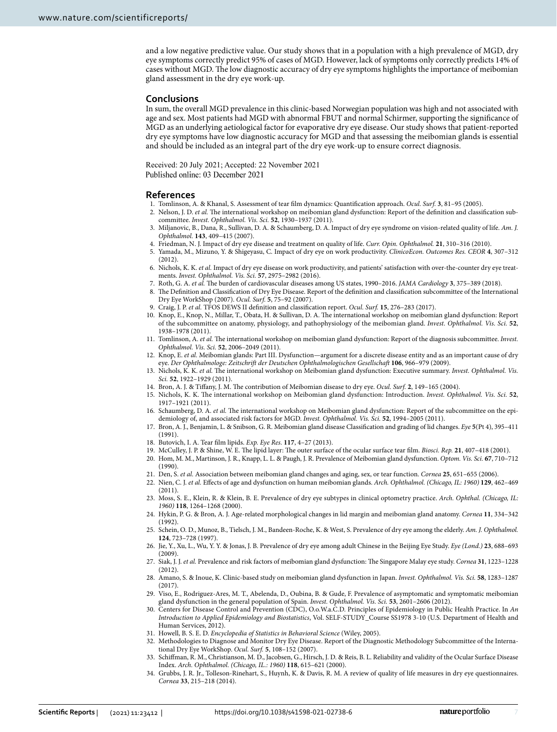and a low negative predictive value. Our study shows that in a population with a high prevalence of MGD, dry eye symptoms correctly predict 95% of cases of MGD. However, lack of symptoms only correctly predicts 14% of cases without MGD. The low diagnostic accuracy of dry eye symptoms highlights the importance of meibomian gland assessment in the dry eye work-up.

#### **Conclusions**

In sum, the overall MGD prevalence in this clinic-based Norwegian population was high and not associated with age and sex. Most patients had MGD with abnormal FBUT and normal Schirmer, supporting the signifcance of MGD as an underlying aetiological factor for evaporative dry eye disease. Our study shows that patient-reported dry eye symptoms have low diagnostic accuracy for MGD and that assessing the meibomian glands is essential and should be included as an integral part of the dry eye work-up to ensure correct diagnosis.

Received: 20 July 2021; Accepted: 22 November 2021 Published online: 03 December 2021

#### **References**

- <span id="page-6-0"></span>1. Tomlinson, A. & Khanal, S. Assessment of tear flm dynamics: Quantifcation approach. *Ocul. Surf.* **3**, 81–95 (2005).
- <span id="page-6-1"></span>2. Nelson, J. D. et al. The international workshop on meibomian gland dysfunction: Report of the definition and classification subcommittee. *Invest. Ophthalmol. Vis. Sci.* **52**, 1930–1937 (2011).
- <span id="page-6-2"></span>3. Miljanovic, B., Dana, R., Sullivan, D. A. & Schaumberg, D. A. Impact of dry eye syndrome on vision-related quality of life. *Am. J. Ophthalmol.* **143**, 409–415 (2007).
- <span id="page-6-3"></span>4. Friedman, N. J. Impact of dry eye disease and treatment on quality of life. *Curr. Opin. Ophthalmol.* **21**, 310–316 (2010).
- <span id="page-6-4"></span>5. Yamada, M., Mizuno, Y. & Shigeyasu, C. Impact of dry eye on work productivity. *ClinicoEcon. Outcomes Res. CEOR* **4**, 307–312 (2012).
- <span id="page-6-5"></span>6. Nichols, K. K. *et al.* Impact of dry eye disease on work productivity, and patients' satisfaction with over-the-counter dry eye treatments. *Invest. Ophthalmol. Vis. Sci.* **57**, 2975–2982 (2016).
- <span id="page-6-6"></span>7. Roth, G. A. *et al.* Te burden of cardiovascular diseases among US states, 1990–2016. *JAMA Cardiology* **3**, 375–389 (2018).
- <span id="page-6-7"></span>8. The Definition and Classification of Dry Eye Disease. Report of the definition and classification subcommittee of the International Dry Eye WorkShop (2007). *Ocul. Surf.* **5**, 75–92 (2007).
- <span id="page-6-8"></span>9. Craig, J. P. *et al.* TFOS DEWS II defnition and classifcation report. *Ocul. Surf.* **15**, 276–283 (2017).
- <span id="page-6-9"></span>10. Knop, E., Knop, N., Millar, T., Obata, H. & Sullivan, D. A. Te international workshop on meibomian gland dysfunction: Report of the subcommittee on anatomy, physiology, and pathophysiology of the meibomian gland. *Invest. Ophthalmol. Vis. Sci.* **52**, 1938–1978 (2011).
- <span id="page-6-23"></span>11. Tomlinson, A. *et al.* The international workshop on meibomian gland dysfunction: Report of the diagnosis subcommittee. *Invest. Ophthalmol. Vis. Sci.* **52**, 2006–2049 (2011).
- 12. Knop, E. *et al.* Meibomian glands: Part III. Dysfunction—argument for a discrete disease entity and as an important cause of dry eye. *Der Ophthalmologe: Zeitschrif der Deutschen Ophthalmologischen Gesellschaf* **106**, 966–979 (2009).
- <span id="page-6-10"></span>13. Nichols, K. K. et al. The international workshop on Meibomian gland dysfunction: Executive summary. *Invest. Ophthalmol. Vis. Sci.* **52**, 1922–1929 (2011).
- <span id="page-6-11"></span>14. Bron, A. J. & Tifany, J. M. Te contribution of Meibomian disease to dry eye. *Ocul. Surf.* **2**, 149–165 (2004).
- <span id="page-6-12"></span>15. Nichols, K. K. Te international workshop on Meibomian gland dysfunction: Introduction. *Invest. Ophthalmol. Vis. Sci.* **52**, 1917–1921 (2011).
- <span id="page-6-13"></span>16. Schaumberg, D. A. *et al.* The international workshop on Meibomian gland dysfunction: Report of the subcommittee on the epidemiology of, and associated risk factors for MGD. *Invest. Ophthalmol. Vis. Sci.* **52**, 1994–2005 (2011).
- <span id="page-6-14"></span>17. Bron, A. J., Benjamin, L. & Snibson, G. R. Meibomian gland disease Classifcation and grading of lid changes. *Eye* **5**(Pt 4), 395–411 (1991).
- 18. Butovich, I. A. Tear flm lipids. *Exp. Eye Res.* **117**, 4–27 (2013).
- <span id="page-6-15"></span>19. McCulley, J. P. & Shine, W. E. Te lipid layer: Te outer surface of the ocular surface tear flm. *Biosci. Rep.* **21**, 407–418 (2001).
- <span id="page-6-16"></span>20. Hom, M. M., Martinson, J. R., Knapp, L. L. & Paugh, J. R. Prevalence of Meibomian gland dysfunction. *Optom. Vis. Sci.* **67**, 710–712 (1990).
- <span id="page-6-29"></span>21. Den, S. *et al.* Association between meibomian gland changes and aging, sex, or tear function. *Cornea* **25**, 651–655 (2006).
- 22. Nien, C. J. *et al.* Efects of age and dysfunction on human meibomian glands. *Arch. Ophthalmol. (Chicago, IL: 1960)* **129**, 462–469 (2011).
- 23. Moss, S. E., Klein, R. & Klein, B. E. Prevalence of dry eye subtypes in clinical optometry practice. *Arch. Ophthal. (Chicago, IL: 1960)* **118**, 1264–1268 (2000).
- <span id="page-6-17"></span>24. Hykin, P. G. & Bron, A. J. Age-related morphological changes in lid margin and meibomian gland anatomy. *Cornea* **11**, 334–342 (1992).
- <span id="page-6-18"></span>25. Schein, O. D., Munoz, B., Tielsch, J. M., Bandeen-Roche, K. & West, S. Prevalence of dry eye among the elderly. *Am. J. Ophthalmol.* **124**, 723–728 (1997).
- <span id="page-6-19"></span>26. Jie, Y., Xu, L., Wu, Y. Y. & Jonas, J. B. Prevalence of dry eye among adult Chinese in the Beijing Eye Study. *Eye (Lond.)* **23**, 688–693 (2009).
- <span id="page-6-21"></span>27. Siak, J. J. *et al.* Prevalence and risk factors of meibomian gland dysfunction: Te Singapore Malay eye study. *Cornea* **31**, 1223–1228 (2012).
- <span id="page-6-20"></span>28. Amano, S. & Inoue, K. Clinic-based study on meibomian gland dysfunction in Japan. *Invest. Ophthalmol. Vis. Sci.* **58**, 1283–1287 (2017).
- <span id="page-6-22"></span>29. Viso, E., Rodriguez-Ares, M. T., Abelenda, D., Oubina, B. & Gude, F. Prevalence of asymptomatic and symptomatic meibomian gland dysfunction in the general population of Spain. *Invest. Ophthalmol. Vis. Sci.* **53**, 2601–2606 (2012).
- <span id="page-6-24"></span>30. Centers for Disease Control and Prevention (CDC), O.o.W.a.C.D. Principles of Epidemiology in Public Health Practice. In *An Introduction to Applied Epidemiology and Biostatistics*, Vol. SELF-STUDY\_Course SS1978 3-10 (U.S. Department of Health and Human Services, 2012).
- <span id="page-6-25"></span>31. Howell, B. S. E. D. *Encyclopedia of Statistics in Behavioral Science* (Wiley, 2005).
- <span id="page-6-26"></span>32. Methodologies to Diagnose and Monitor Dry Eye Disease. Report of the Diagnostic Methodology Subcommittee of the International Dry Eye WorkShop. *Ocul. Surf.* **5**, 108–152 (2007).
- <span id="page-6-27"></span>33. Schifman, R. M., Christianson, M. D., Jacobsen, G., Hirsch, J. D. & Reis, B. L. Reliability and validity of the Ocular Surface Disease Index. *Arch. Ophthalmol. (Chicago, IL.: 1960)* **118**, 615–621 (2000).
- <span id="page-6-28"></span>34. Grubbs, J. R. Jr., Tolleson-Rinehart, S., Huynh, K. & Davis, R. M. A review of quality of life measures in dry eye questionnaires. *Cornea* **33**, 215–218 (2014).

7